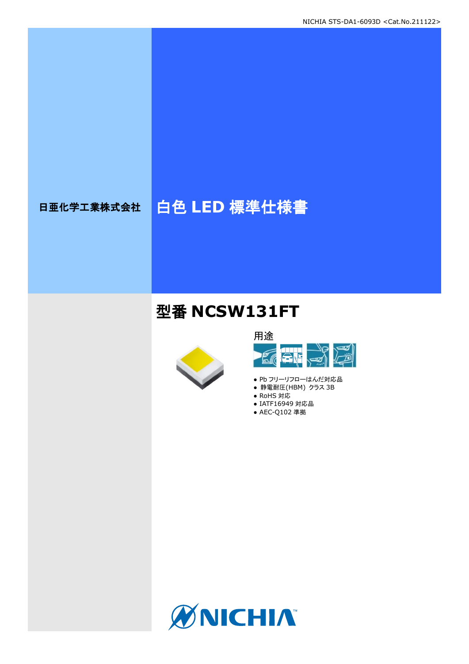# 日亜化学工業株式会社 | 白色 LED 標準仕様書

## 型番 **NCSW131FT**





- Pb フリーリフローはんだ対応品
- 静電耐圧(HBM) クラス 3B
- RoHS 対応
- IATF16949 対応品 ● AEC-Q102 準拠

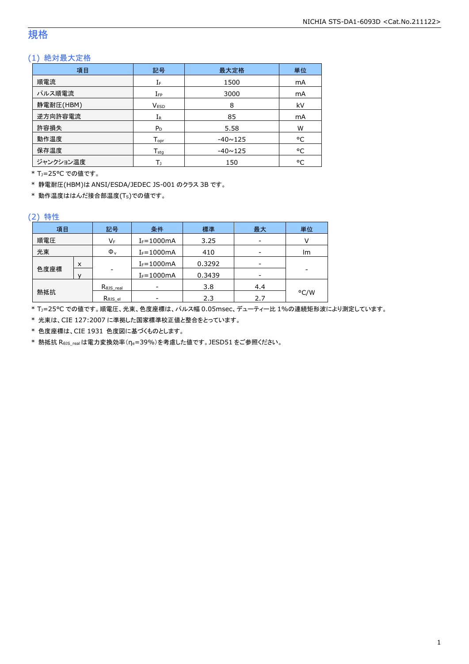### 規格

### (1) 絶対最大定格

| 項目        | 記号               | 最大定格           | 単位 |
|-----------|------------------|----------------|----|
| 順電流       | IF               | 1500           | mA |
| パルス順電流    | $I_{FP}$         | 3000           | mA |
| 静電耐圧(HBM) | <b>VESD</b>      | 8              | kV |
| 逆方向許容電流   | $I_{R}$          | 85             | mA |
| 許容損失      | $P_D$            | 5.58           | W  |
| 動作温度      | $T_{\text{opt}}$ | $-40 \sim 125$ | °C |
| 保存温度      | $T_{\text{stg}}$ | $-40 \sim 125$ | °C |
| ジャンクション温度 | Tı               | 150            | °C |

\* TJ=25°C での値です。

\* 静電耐圧(HBM)は ANSI/ESDA/JEDEC JS-001 のクラス 3B です。

\* 動作温度ははんだ接合部温度(TS)での値です。

#### (2) 特性

| 項目                   | 記号 |                      | 条件             | 標準     | 最大  | 単位   |
|----------------------|----|----------------------|----------------|--------|-----|------|
| 順電圧<br>VF            |    | $I_F = 1000mA$       | 3.25           |        |     |      |
| 光束<br>$\Phi_{\rm v}$ |    | $I_F = 1000mA$       | 410            | -      | lm  |      |
|                      | x  |                      | $I_F = 1000mA$ | 0.3292 |     |      |
| 色度座標                 |    | $\qquad \qquad$      | $I_F = 1000mA$ | 0.3439 | -   |      |
|                      |    | $R_{\theta}$ JS_real |                | 3.8    | 4.4 |      |
| 熱抵抗                  |    | Rejs el              |                | 2.3    | 2.7 | °C/W |

\* TJ=25°C での値です。順電圧、光束、色度座標は、パルス幅 0.05msec、デューティー比 1%の連続矩形波により測定しています。

\* 光束は、CIE 127:2007 に準拠した国家標準校正値と整合をとっています。

\* 色度座標は、CIE 1931 色度図に基づくものとします。

\* 熱抵抗 RθJS\_realは電力変換効率(ηe=39%)を考慮した値です。JESD51 をご参照ください。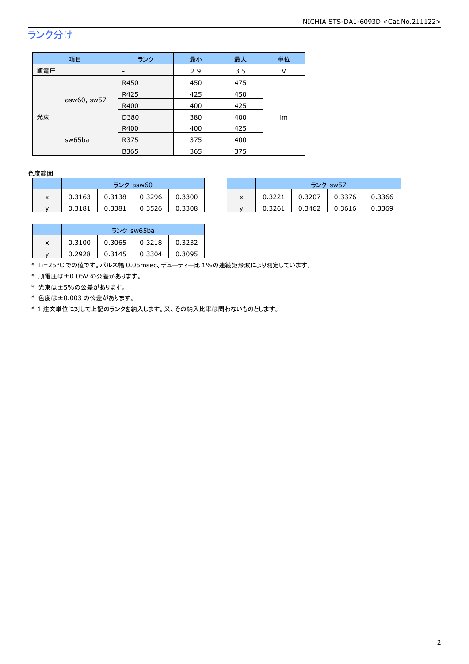## ランク分け

|                             | 項目   | ランク         | 最小  | 最大  | 単位 |
|-----------------------------|------|-------------|-----|-----|----|
| 順電圧                         |      |             | 2.9 | 3.5 | V  |
| asw60, sw57<br>光束<br>sw65ba | R450 | 450         | 475 |     |    |
|                             |      | R425        | 425 | 450 |    |
|                             |      | R400        | 400 | 425 |    |
|                             | D380 | 380         | 400 | Im  |    |
|                             | R400 | 400         | 425 |     |    |
|                             |      | R375        | 375 | 400 |    |
|                             |      | <b>B365</b> | 365 | 375 |    |

#### 色度範囲

|   | ランク asw60 |        |        |        |  |  |
|---|-----------|--------|--------|--------|--|--|
| x | 0.3163    | 0.3138 | 0.3296 | 0.3300 |  |  |
|   | 0.3181    | 0.3381 | 0.3526 | 0.3308 |  |  |

|   |        | ランク asw60 |        |        |  | ランク sw57 |        |        |        |
|---|--------|-----------|--------|--------|--|----------|--------|--------|--------|
| x | 0.3163 | 0.3138    | 0.3296 | 0.3300 |  | 0.3221   | 0.3207 | 0.3376 | 0.3366 |
|   | 0.3181 | 0.3381    | 0.3526 | 0.3308 |  | 0.3261   | 0.3462 | 0.3616 | 0.3369 |

|   | ランク sw65ba |        |        |        |  |  |
|---|------------|--------|--------|--------|--|--|
| x | 0.3100     | 0.3065 | 0.3218 | 0.3232 |  |  |
|   | 0.2928     | 0.3145 | 0.3304 | 0.3095 |  |  |

\* TJ=25°C での値です。パルス幅 0.05msec、デューティー比 1%の連続矩形波により測定しています。

\* 順電圧は±0.05V の公差があります。

\* 光束は±5%の公差があります。

\* 色度は±0.003 の公差があります。

\* 1 注文単位に対して上記のランクを納入します。又、その納入比率は問わないものとします。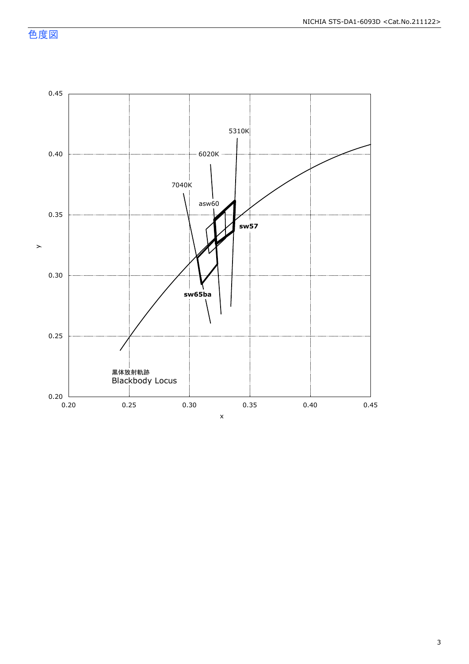色度図

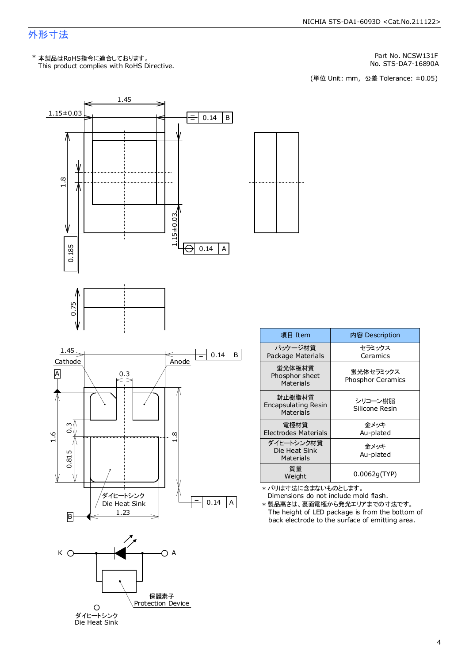### 外形寸法

This product complies with RoHS Directive. \* 本製品はRoHS指令に適合しております。

> ダイヒートシンク Die Heat Sink

Part No. NCSW131F

No. STS-DA7-16890A<br>(単位 Unit: mm,公差 Tolerance: ±0.05)



| 項目 Item                                    | 内容 Description                 |
|--------------------------------------------|--------------------------------|
| パッケージ材質<br>Package Materials               | セラミックス<br>Ceramics             |
| 蛍光体板材質<br>Phosphor sheet<br>Materials      | 蛍光体セラミックス<br>Phosphor Ceramics |
| 封止樹脂材質<br>Encapsulating Resin<br>Materials | シリコーン樹脂<br>Silicone Resin      |
| 雷極材質<br><b>Electrodes Materials</b>        | 金メッキ<br>Au-plated              |
| ダイヒートシンク材質<br>Die Heat Sink<br>Materials   | 金メッキ<br>Au-plated              |
| 質量<br>Weight                               | 0.0062g(TYP)                   |

Dimensions do not include mold flash. \* バリは寸法に含まないものとします。

The height of LED package is from the bottom of back electrode to the surface of emitting area. \* 製品高さは、裏面電極から発光エリアまでの寸法です。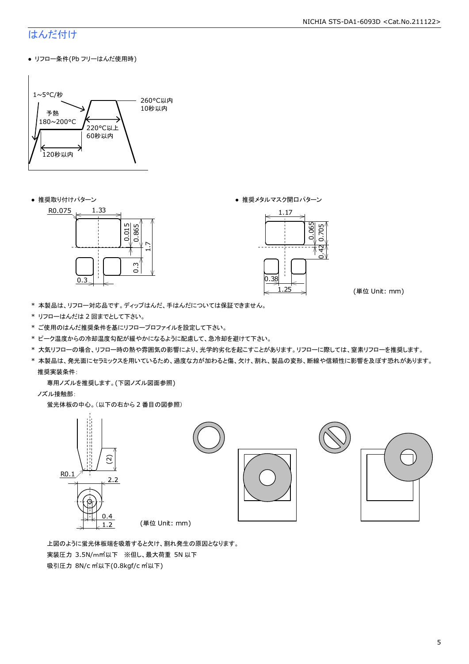### はんだ付け

● リフロー条件(Pb フリーはんだ使用時)



● 推奨取り付けパターン ろんじょう しょうしゃ ゆうしゃ ウィック あんきょう きょうかん きゅうしょく 推奨メタルマスク開口パターン





(単位 Unit: mm)

- \* 本製品は、リフロー対応品です。ディップはんだ、手はんだについては保証できません。
- \* リフローはんだは 2 回までとして下さい。
- \* ご使用のはんだ推奨条件を基にリフロープロファイルを設定して下さい。
- \* ピーク温度からの冷却温度勾配が緩やかになるように配慮して、急冷却を避けて下さい。
- \* 大気リフローの場合、リフロー時の熱や雰囲気の影響により、光学的劣化を起こすことがあります。リフローに際しては、窒素リフローを推奨します。
- \* 本製品は、発光面にセラミックスを用いているため、過度な力が加わると傷、欠け、割れ、製品の変形、断線や信頼性に影響を及ぼす恐れがあります。 推奨実装条件:

専用ノズルを推奨します。(下図ノズル図面参照)

ノズル接触部:

蛍光体板の中心。(以下の右から 2 番目の図参照)



 上図のように蛍光体板端を吸着すると欠け、割れ発生の原因となります。 実装圧力 3.5N/m㎡以下 ※但し、最大荷重 5N 以下 吸引圧力 8N/c ㎡以下(0.8kgf/c ㎡以下)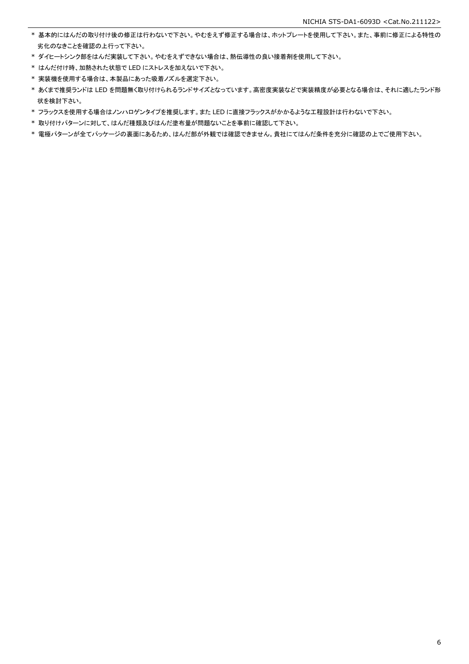- \* 基本的にはんだの取り付け後の修正は行わないで下さい。やむをえず修正する場合は、ホットプレートを使用して下さい。また、事前に修正による特性の 劣化のなきことを確認の上行って下さい。
- \* ダイヒートシンク部をはんだ実装して下さい。やむをえずできない場合は、熱伝導性の良い接着剤を使用して下さい。
- \* はんだ付け時、加熱された状態で LED にストレスを加えないで下さい。
- \* 実装機を使用する場合は、本製品にあった吸着ノズルを選定下さい。
- \* あくまで推奨ランドは LED を問題無く取り付けられるランドサイズとなっています。高密度実装などで実装精度が必要となる場合は、それに適したランド形 状を検討下さい。
- \* フラックスを使用する場合はノンハロゲンタイプを推奨します。また LED に直接フラックスがかかるような工程設計は行わないで下さい。
- \* 取り付けパターンに対して、はんだ種類及びはんだ塗布量が問題ないことを事前に確認して下さい。
- \* 電極パターンが全てパッケージの裏面にあるため、はんだ部が外観では確認できません。貴社にてはんだ条件を充分に確認の上でご使用下さい。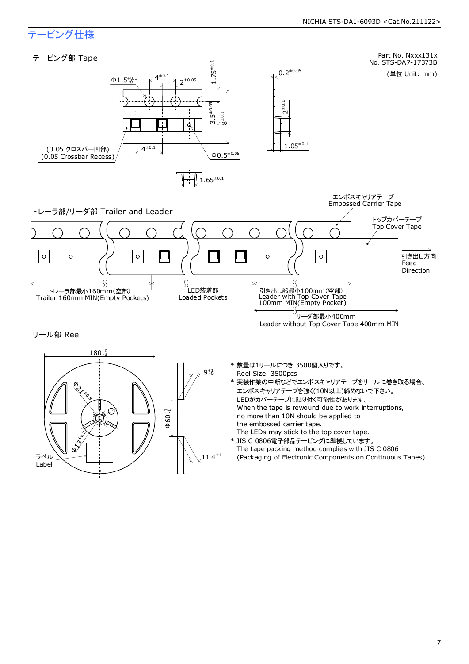### テーピング仕様

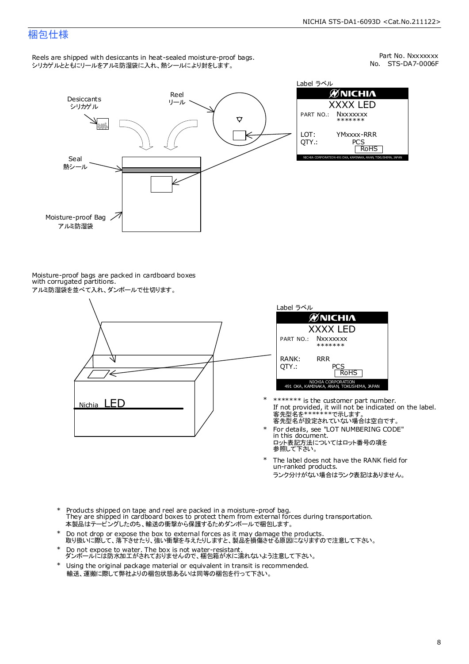### 梱包仕様

Reels are shipped with desiccants in heat-sealed moisture-proof bags. シリカゲルとともにリールをアルミ防湿袋に入れ、熱シールにより封をします。

No. STS-DA7-0006F Part No. Nxxxxxxx



Label ラベル  $\mathscr{D}$ NICHIA XXXX LED PART NO.: **Nxxxxxxx** \*\*\*\*\*\*\* LOT: YMxxxx-RRR QTY.: PCS<br>RoHS INAKA, ANAN, TOKUSHIMA, JA

Moisture-proof bags are packed in cardboard boxes with corrugated partitions. アルミ防湿袋を並べて入れ、ダンボールで仕切ります。





- 客先型名が設定されていない場合は空白です。 客先型名を\*\*\*\*\*\*\*で示します。 If not provided, it will not be indicated on the label. \*\*\*\*\*\*\* is the customer part number.
- For details, see "LOT NUMBERING CODE" in this document. ロット表記方法についてはロット番号の項を<br>参照して下さい。 \*
- The label does not have the RANK field for un-ranked products. ランク分けがない場合はランク表記はありません。 \*
- Products shipped on tape and reel are packed in a moisture-proof bag. They are shipped in cardboard boxes to protect them from external forces during transportation. 本製品はテーピングしたのち、輸送の衝撃から保護するためダンボールで梱包します。 \*
- Do not drop or expose the box to external forces as it may damage the products. 取り扱いに際して、落下させたり、強い衝撃を与えたりしますと、製品を損傷させる原因になりますので注意して下さい。 \*
- Do not expose to water. The box is not water-resistant. ダンボールには防水加工がされておりませんので、梱包箱が水に濡れないよう注意して下さい。 \*
- \* Using the original package material or equivalent in transit is recommended. 輸送、運搬に際して弊社よりの梱包状態あるいは同等の梱包を行って下さい。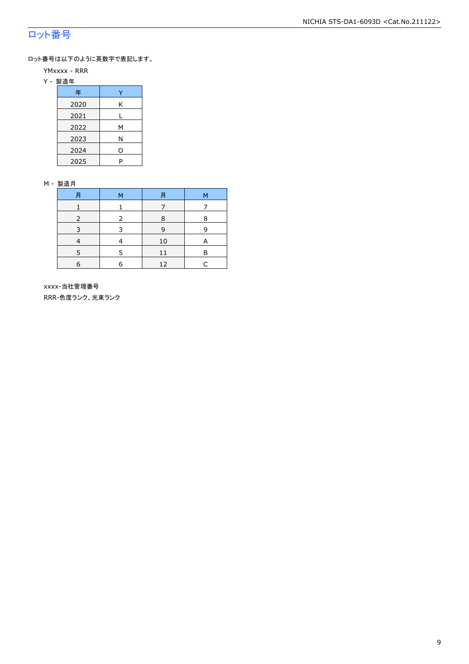### ロット番号

ロット番号は以下のように英数字で表記します。

- YMxxxx RRR
- Y 製造年

| 年    |   |
|------|---|
| 2020 | Κ |
| 2021 |   |
| 2022 | м |
| 2023 | Ν |
| 2024 | 0 |
| 2025 | P |

#### M - 製造月

| 月          | M | Ħ  | M |
|------------|---|----|---|
|            |   |    |   |
|            |   | 8  | 8 |
| 3          | З | 9  | q |
|            |   | 10 | А |
|            |   | 11 | R |
| $\epsilon$ | F | 12 |   |

 xxxx-当社管理番号 RRR-色度ランク、光束ランク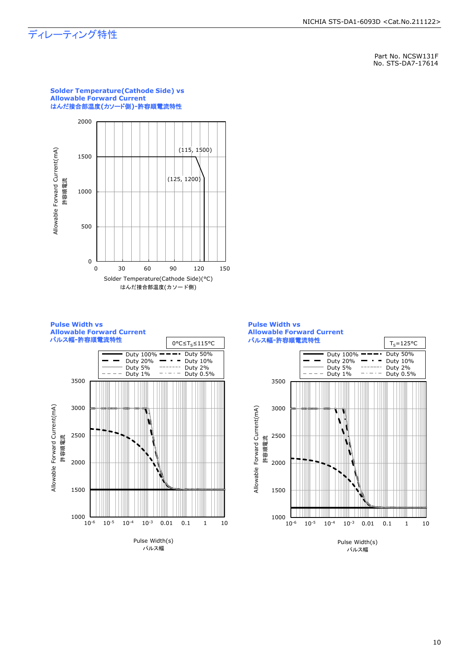### ディレーティング特性

**Pulse Width vs** 

Allowable Forward Current(mA) 許容順電流

 $1000$  L<br> $10^{-6}$ 

1500

2000

2500

3000

3500

Part No. NCSW131F No. STS-DA7-17614





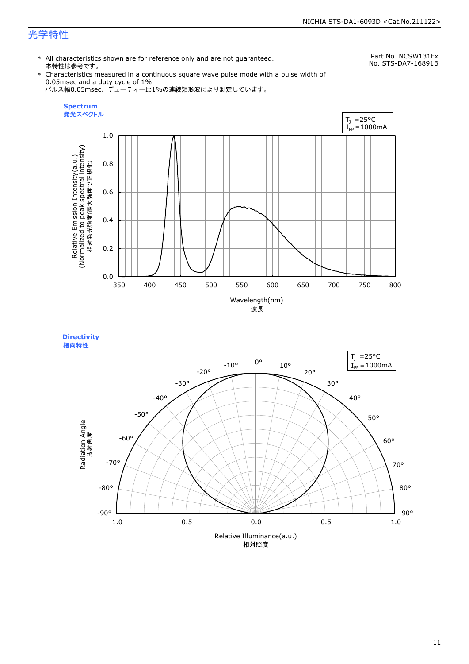### 光学特性

\* All characteristics shown are for reference only and are not guaranteed. 本特性は参考です。

Part No. NCSW131Fx No. STS-DA7-16891B

\* Characteristics measured in a continuous square wave pulse mode with a pulse width of 0.05msec and a duty cycle of 1%. パルス幅0.05msec、デューティー比1%の連続矩形波により測定しています。





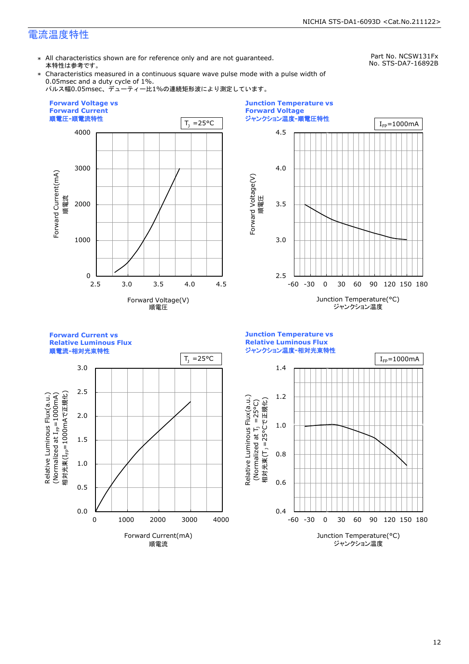### 電流温度特性

\* All characteristics shown are for reference only and are not guaranteed. 本特性は参考です。

Part No. NCSW131Fx No. STS-DA7-16892B

\* Characteristics measured in a continuous square wave pulse mode with a pulse width of 0.05msec and a duty cycle of 1%.

パルス幅0.05msec、デューティー比1%の連続矩形波により測定しています。





**Forward Current vs** 

**Relative Luminous Flux**



0.4 0.6 0.8 1.0 1.2 1.4 -60 -30 0 30 60 90 120 150 180 Junction Temperature(°C) ジャンクション温度  $T_1 = 25^{\circ}C$  |  $I_{\text{FP}} = 1000 \text{mA}$ (Normalized at  $T_1$  =25°C) 相対光束(T」=25°Cで正規化) m i

**Junction Temperature vs Relative Luminous Flux** ジャンクション温度**-**相対光束特性

Relative Luminous Flux(a.u.)

Relative Luminous Flux(a.u.)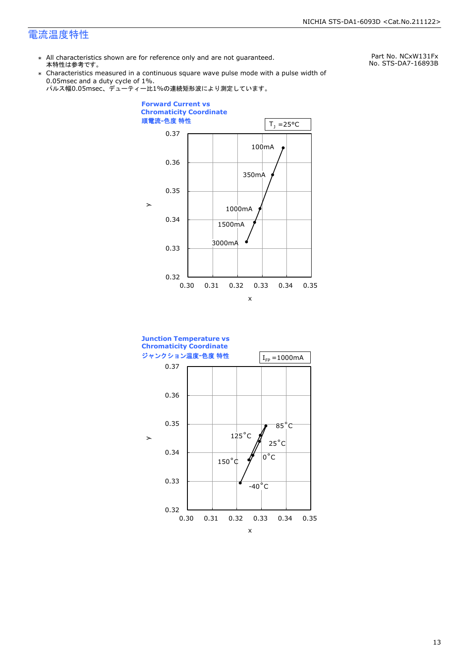### 電流温度特性

\* All characteristics shown are for reference only and are not guaranteed. 本特性は参考です。

Part No. NCxW131Fx No. STS-DA7-16893B

\* Characteristics measured in a continuous square wave pulse mode with a pulse width of 0.05msec and a duty cycle of 1%.





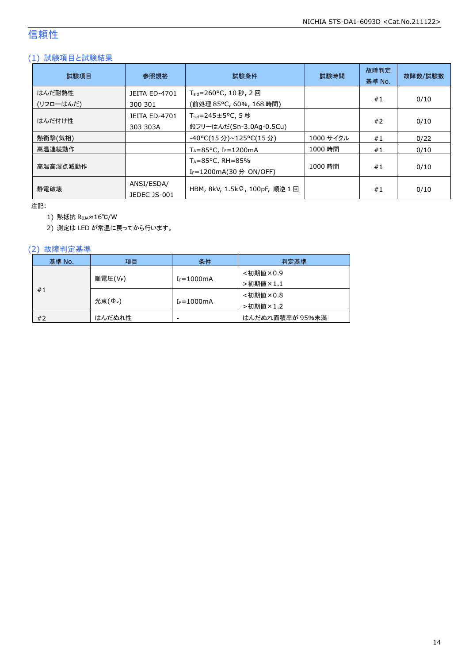### 信頼性

### (1) 試験項目と試験結果

| 試験項目                | 参照規格                             | 試験条件                                                                   | 試験時間      | 故障判定<br>基準 No. | 故障数/試験数 |
|---------------------|----------------------------------|------------------------------------------------------------------------|-----------|----------------|---------|
| はんだ耐熱性<br>(リフローはんだ) | <b>JEITA ED-4701</b><br>300 301  | T <sub>sld</sub> =260°C, 10 秒, 2 回<br>(前処理 85℃, 60%, 168 時間)           |           | #1             | 0/10    |
| はんだ付け性              | <b>JEITA ED-4701</b><br>303 303A | $T_{\text{std}} = 245 \pm 5^{\circ}$ C, 5 秒<br>鉛フリーはんだ(Sn-3.0Ag-0.5Cu) |           | #2             | 0/10    |
| 熱衝撃(気相)             |                                  | -40°C(15 分)~125°C(15 分)                                                | 1000 サイクル | #1             | 0/22    |
| 高温連続動作              |                                  | $T_A = 85^{\circ}$ C, I <sub>F</sub> =1200mA                           | 1000 時間   | #1             | 0/10    |
| 高温高湿点滅動作            |                                  | $T_A = 85^{\circ}$ C, RH = 85%<br>I <sub>F</sub> =1200mA(30 分 ON/OFF)  | 1000 時間   | #1             | 0/10    |
| 静雷破壊                | ANSI/ESDA/<br>JEDEC JS-001       | HBM, 8kV, 1.5kΩ, 100pF, 順逆 1 回                                         |           | #1             | 0/10    |

注記:

1) 熱抵抗 RθJA≈16℃/W

2) 測定は LED が常温に戻ってから行います。

### (2) 故障判定基準

| 基準 No. | 項目                 | 条件                       | 判定基準            |
|--------|--------------------|--------------------------|-----------------|
|        |                    |                          | <初期値×0.9        |
|        | 順電圧(VF)            | $I_F = 1000$ mA          | >初期値×1.1        |
| #1     |                    |                          | <初期値×0.8        |
|        | 光束( $\Phi_{\nu}$ ) | $I_F = 1000$ mA          | >初期値×1.2        |
| #2     | はんだぬれ性             | $\overline{\phantom{a}}$ | はんだぬれ面積率が 95%未満 |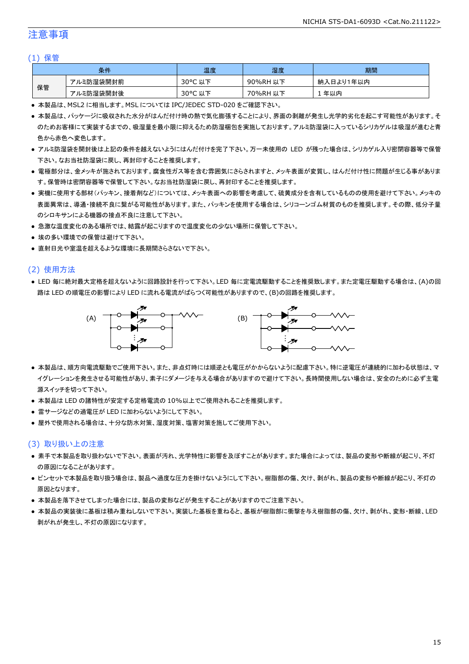### 注意事項

#### (1) 保管

| 条件 |           | 温度                     | 湿度          | 期間              |
|----|-----------|------------------------|-------------|-----------------|
|    | アルミ防湿袋開封前 | $30^{\circ}$ C<br>以下   | 90%RH<br>以下 | ∛入日より1年以内<br>納. |
| 保管 | アルミ防湿袋開封後 | $30^{\circ}$ C<br>. 以下 | 70%RH<br>以下 | 年以内             |

● 本製品は、MSL2 に相当します。MSL については IPC/JEDEC STD-020 をご確認下さい。

- 本製品は、パッケージに吸収された水分がはんだ付け時の熱で気化膨張することにより、界面の剥離が発生し光学的劣化を起こす可能性があります。そ のためお客様にて実装するまでの、吸湿量を最小限に抑えるため防湿梱包を実施しております。アルミ防湿袋に入っているシリカゲルは吸湿が進むと青 色から赤色へ変色します。
- アルミ防湿袋を開封後は上記の条件を越えないようにはんだ付けを完了下さい。万一未使用の LED が残った場合は、シリカゲル入り密閉容器等で保管 下さい。なお当社防湿袋に戻し、再封印することを推奨します。
- 電極部分は、金メッキが施されております。腐食性ガス等を含む雰囲気にさらされますと、メッキ表面が変質し、はんだ付け性に問題が生じる事がありま す。保管時は密閉容器等で保管して下さい。なお当社防湿袋に戻し、再封印することを推奨します。
- 実機に使用する部材(パッキン、接着剤など)については、メッキ表面への影響を考慮して、硫黄成分を含有しているものの使用を避けて下さい。メッキの 表面異常は、導通・接続不良に繋がる可能性があります。また、パッキンを使用する場合は、シリコーンゴム材質のものを推奨します。その際、低分子量 のシロキサンによる機器の接点不良に注意して下さい。
- 急激な温度変化のある場所では、結露が起こりますので温度変化の少ない場所に保管して下さい。
- 埃の多い環境での保管は避けて下さい。
- 直射日光や室温を超えるような環境に長期間さらさないで下さい。

#### (2) 使用方法

● LED 毎に絶対最大定格を超えないように回路設計を行って下さい。LED 毎に定電流駆動することを推奨致します。また定電圧駆動する場合は、(A)の回 路は LED の順電圧の影響により LED に流れる電流がばらつく可能性がありますので、(B)の回路を推奨します。



- 本製品は、順方向電流駆動でご使用下さい。また、非点灯時には順逆とも電圧がかからないように配慮下さい。特に逆電圧が連続的に加わる状態は、マ イグレーションを発生させる可能性があり、素子にダメージを与える場合がありますので避けて下さい。長時間使用しない場合は、安全のために必ず主電 源スイッチを切って下さい。
- 本製品は LED の諸特性が安定する定格電流の 10%以上でご使用されることを推奨します。
- 雷サージなどの過電圧が LED に加わらないようにして下さい。
- 屋外で使用される場合は、十分な防水対策、湿度対策、塩害対策を施してご使用下さい。

#### (3) 取り扱い上の注意

- 素手で本製品を取り扱わないで下さい。表面が汚れ、光学特性に影響を及ぼすことがあります。また場合によっては、製品の変形や断線が起こり、不灯 の原因になることがあります。
- ピンセットで本製品を取り扱う場合は、製品へ過度な圧力を掛けないようにして下さい。樹脂部の傷、欠け、剥がれ、製品の変形や断線が起こり、不灯の 原因となります。
- 本製品を落下させてしまった場合には、製品の変形などが発生することがありますのでご注意下さい。
- 本製品の実装後に基板は積み重ねしないで下さい。実装した基板を重ねると、基板が樹脂部に衝撃を与え樹脂部の傷、欠け、剥がれ、変形・断線、LED 剥がれが発生し、不灯の原因になります。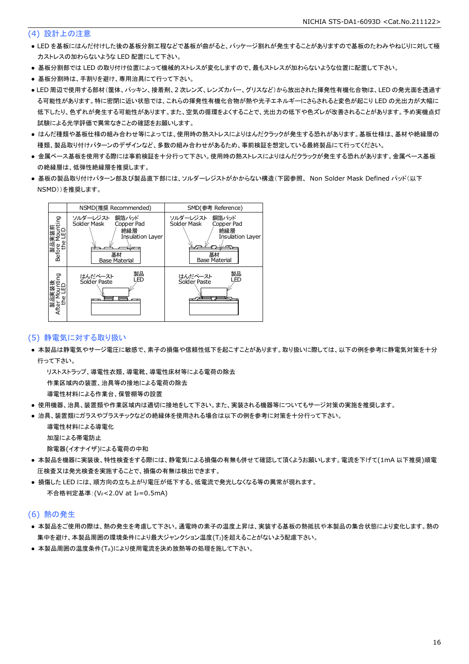#### (4) 設計上の注意

- LED を基板にはんだ付けした後の基板分割工程などで基板が曲がると、パッケージ割れが発生することがありますので基板のたわみやねじりに対して極 力ストレスの加わらないような LED 配置にして下さい。
- 基板分割部では LED の取り付け位置によって機械的ストレスが変化しますので、最もストレスが加わらないような位置に配置して下さい。
- 基板分割時は、手割りを避け、専用治具にて行って下さい。
- LED 周辺で使用する部材(筐体、パッキン、接着剤、2 次レンズ、レンズカバー、グリスなど)から放出された揮発性有機化合物は、LED の発光面を透過す る可能性があります。特に密閉に近い状態では、これらの揮発性有機化合物が熱や光子エネルギーにさらされると変色が起こり LED の光出力が大幅に 低下したり、色ずれが発生する可能性があります。また、空気の循環をよくすることで、光出力の低下や色ズレが改善されることがあります。予め実機点灯 試験による光学評価で異常なきことの確認をお願いします。
- はんだ種類や基板仕様の組み合わせ等によっては、使用時の熱ストレスによりはんだクラックが発生する恐れがあります。基板仕様は、基材や絶縁層の 種類、製品取り付けパターンのデザインなど、多数の組み合わせがあるため、事前検証を想定している最終製品にて行ってください。
- 金属ベース基板を使用する際には事前検証を十分行って下さい。使用時の熱ストレスによりはんだクラックが発生する恐れがあります。金属ベース基板 の絶縁層は、低弾性絶縁層を推奨します。
- 基板の製品取り付けパターン部及び製品直下部には、ソルダーレジストがかからない構造(下図参照、 Non Solder Mask Defined パッド(以下 NSMD))を推奨します。



#### (5) 静電気に対する取り扱い

● 本製品は静電気やサージ電圧に敏感で、素子の損傷や信頼性低下を起こすことがあります。取り扱いに際しては、以下の例を参考に静電気対策を十分 行って下さい。

 リストストラップ、導電性衣類、導電靴、導電性床材等による電荷の除去 作業区域内の装置、治具等の接地による電荷の除去

導電性材料による作業台、保管棚等の設置

- 使用機器、治具、装置類や作業区域内は適切に接地をして下さい。また、実装される機器等についてもサージ対策の実施を推奨します。
- 治具、装置類にガラスやプラスチックなどの絶縁体を使用される場合は以下の例を参考に対策を十分行って下さい。

 導電性材料による導電化 加湿による帯電防止

除電器(イオナイザ)による電荷の中和

- 本製品を機器に実装後、特性検査をする際には、静電気による損傷の有無も併せて確認して頂くようお願いします。電流を下げて(1mA 以下推奨)順電 圧検査又は発光検査を実施することで、損傷の有無は検出できます。
- 損傷した LED には、順方向の立ち上がり電圧が低下する、低電流で発光しなくなる等の異常が現れます。 不合格判定基準: (VF<2.0V at IF=0.5mA)

#### (6) 熱の発生

- 本製品をご使用の際は、熱の発生を考慮して下さい。通電時の素子の温度上昇は、実装する基板の熱抵抗や本製品の集合状態により変化します。熱の 集中を避け、本製品周囲の環境条件により最大ジャンクション温度(TJ)を超えることがないよう配慮下さい。
- 本製品周囲の温度条件(TA)により使用電流を決め放熱等の処理を施して下さい。